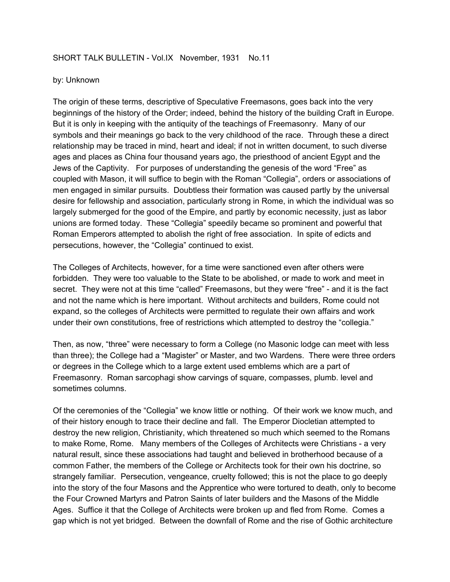## SHORT TALK BULLETIN - Vol.IX November, 1931 No.11

## by: Unknown

The origin of these terms, descriptive of Speculative Freemasons, goes back into the very beginnings of the history of the Order; indeed, behind the history of the building Craft in Europe. But it is only in keeping with the antiquity of the teachings of Freemasonry. Many of our symbols and their meanings go back to the very childhood of the race. Through these a direct relationship may be traced in mind, heart and ideal; if not in written document, to such diverse ages and places as China four thousand years ago, the priesthood of ancient Egypt and the Jews of the Captivity. For purposes of understanding the genesis of the word "Free" as coupled with Mason, it will suffice to begin with the Roman "Collegia", orders or associations of men engaged in similar pursuits. Doubtless their formation was caused partly by the universal desire for fellowship and association, particularly strong in Rome, in which the individual was so largely submerged for the good of the Empire, and partly by economic necessity, just as labor unions are formed today. These "Collegia" speedily became so prominent and powerful that Roman Emperors attempted to abolish the right of free association. In spite of edicts and persecutions, however, the "Collegia" continued to exist.

The Colleges of Architects, however, for a time were sanctioned even after others were forbidden. They were too valuable to the State to be abolished, or made to work and meet in secret. They were not at this time "called" Freemasons, but they were "free" - and it is the fact and not the name which is here important. Without architects and builders, Rome could not expand, so the colleges of Architects were permitted to regulate their own affairs and work under their own constitutions, free of restrictions which attempted to destroy the "collegia."

Then, as now, "three" were necessary to form a College (no Masonic lodge can meet with less than three); the College had a "Magister" or Master, and two Wardens. There were three orders or degrees in the College which to a large extent used emblems which are a part of Freemasonry. Roman sarcophagi show carvings of square, compasses, plumb. level and sometimes columns.

Of the ceremonies of the "Collegia" we know little or nothing. Of their work we know much, and of their history enough to trace their decline and fall. The Emperor Diocletian attempted to destroy the new religion, Christianity, which threatened so much which seemed to the Romans to make Rome, Rome. Many members of the Colleges of Architects were Christians - a very natural result, since these associations had taught and believed in brotherhood because of a common Father, the members of the College or Architects took for their own his doctrine, so strangely familiar. Persecution, vengeance, cruelty followed; this is not the place to go deeply into the story of the four Masons and the Apprentice who were tortured to death, only to become the Four Crowned Martyrs and Patron Saints of later builders and the Masons of the Middle Ages. Suffice it that the College of Architects were broken up and fled from Rome. Comes a gap which is not yet bridged. Between the downfall of Rome and the rise of Gothic architecture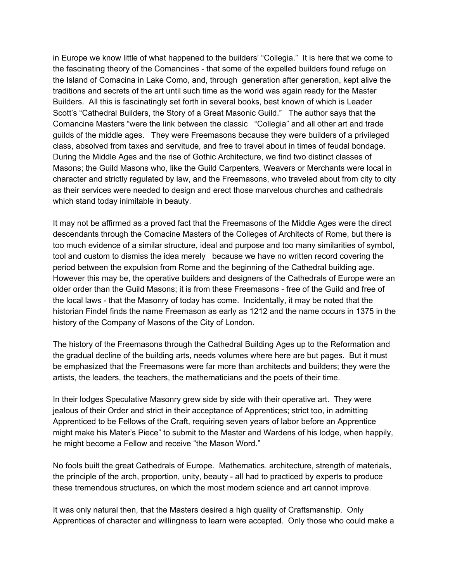in Europe we know little of what happened to the builders' "Collegia." It is here that we come to the fascinating theory of the Comancines - that some of the expelled builders found refuge on the Island of Comacina in Lake Como, and, through generation after generation, kept alive the traditions and secrets of the art until such time as the world was again ready for the Master Builders. All this is fascinatingly set forth in several books, best known of which is Leader Scott's "Cathedral Builders, the Story of a Great Masonic Guild." The author says that the Comancine Masters "were the link between the classic "Collegia" and all other art and trade guilds of the middle ages. They were Freemasons because they were builders of a privileged class, absolved from taxes and servitude, and free to travel about in times of feudal bondage. During the Middle Ages and the rise of Gothic Architecture, we find two distinct classes of Masons; the Guild Masons who, like the Guild Carpenters, Weavers or Merchants were local in character and strictly regulated by law, and the Freemasons, who traveled about from city to city as their services were needed to design and erect those marvelous churches and cathedrals which stand today inimitable in beauty.

It may not be affirmed as a proved fact that the Freemasons of the Middle Ages were the direct descendants through the Comacine Masters of the Colleges of Architects of Rome, but there is too much evidence of a similar structure, ideal and purpose and too many similarities of symbol, tool and custom to dismiss the idea merely because we have no written record covering the period between the expulsion from Rome and the beginning of the Cathedral building age. However this may be, the operative builders and designers of the Cathedrals of Europe were an older order than the Guild Masons; it is from these Freemasons - free of the Guild and free of the local laws - that the Masonry of today has come. Incidentally, it may be noted that the historian Findel finds the name Freemason as early as 1212 and the name occurs in 1375 in the history of the Company of Masons of the City of London.

The history of the Freemasons through the Cathedral Building Ages up to the Reformation and the gradual decline of the building arts, needs volumes where here are but pages. But it must be emphasized that the Freemasons were far more than architects and builders; they were the artists, the leaders, the teachers, the mathematicians and the poets of their time.

In their lodges Speculative Masonry grew side by side with their operative art. They were jealous of their Order and strict in their acceptance of Apprentices; strict too, in admitting Apprenticed to be Fellows of the Craft, requiring seven years of labor before an Apprentice might make his Mater's Piece" to submit to the Master and Wardens of his lodge, when happily, he might become a Fellow and receive "the Mason Word."

No fools built the great Cathedrals of Europe. Mathematics. architecture, strength of materials, the principle of the arch, proportion, unity, beauty - all had to practiced by experts to produce these tremendous structures, on which the most modern science and art cannot improve.

It was only natural then, that the Masters desired a high quality of Craftsmanship. Only Apprentices of character and willingness to learn were accepted. Only those who could make a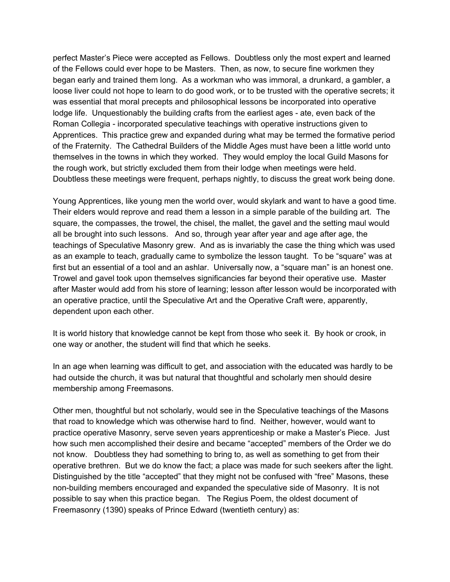perfect Master's Piece were accepted as Fellows. Doubtless only the most expert and learned of the Fellows could ever hope to be Masters. Then, as now, to secure fine workmen they began early and trained them long. As a workman who was immoral, a drunkard, a gambler, a loose liver could not hope to learn to do good work, or to be trusted with the operative secrets; it was essential that moral precepts and philosophical lessons be incorporated into operative lodge life. Unquestionably the building crafts from the earliest ages - ate, even back of the Roman Collegia - incorporated speculative teachings with operative instructions given to Apprentices. This practice grew and expanded during what may be termed the formative period of the Fraternity. The Cathedral Builders of the Middle Ages must have been a little world unto themselves in the towns in which they worked. They would employ the local Guild Masons for the rough work, but strictly excluded them from their lodge when meetings were held. Doubtless these meetings were frequent, perhaps nightly, to discuss the great work being done.

Young Apprentices, like young men the world over, would skylark and want to have a good time. Their elders would reprove and read them a lesson in a simple parable of the building art. The square, the compasses, the trowel, the chisel, the mallet, the gavel and the setting maul would all be brought into such lessons. And so, through year after year and age after age, the teachings of Speculative Masonry grew. And as is invariably the case the thing which was used as an example to teach, gradually came to symbolize the lesson taught. To be "square" was at first but an essential of a tool and an ashlar. Universally now, a "square man" is an honest one. Trowel and gavel took upon themselves significancies far beyond their operative use. Master after Master would add from his store of learning; lesson after lesson would be incorporated with an operative practice, until the Speculative Art and the Operative Craft were, apparently, dependent upon each other.

It is world history that knowledge cannot be kept from those who seek it. By hook or crook, in one way or another, the student will find that which he seeks.

In an age when learning was difficult to get, and association with the educated was hardly to be had outside the church, it was but natural that thoughtful and scholarly men should desire membership among Freemasons.

Other men, thoughtful but not scholarly, would see in the Speculative teachings of the Masons that road to knowledge which was otherwise hard to find. Neither, however, would want to practice operative Masonry, serve seven years apprenticeship or make a Master's Piece. Just how such men accomplished their desire and became "accepted" members of the Order we do not know. Doubtless they had something to bring to, as well as something to get from their operative brethren. But we do know the fact; a place was made for such seekers after the light. Distinguished by the title "accepted" that they might not be confused with "free" Masons, these non-building members encouraged and expanded the speculative side of Masonry. It is not possible to say when this practice began. The Regius Poem, the oldest document of Freemasonry (1390) speaks of Prince Edward (twentieth century) as: